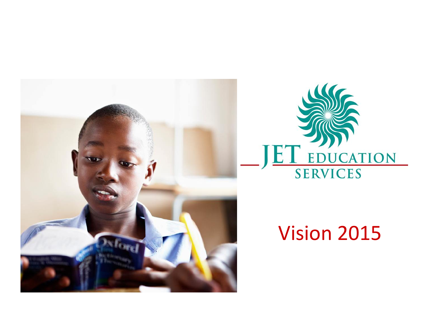



# Vision 2015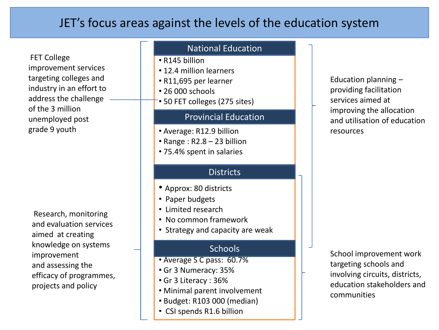### JET's focus areas against the levels of the education system

FET College improvement services targeting colleges and industry in an effort to address the challenge of the 3 million unemployed post grade 9 youth

Research, monitoring and evaluation services aimed at creating knowledge on systems improvement and assessing the efficacy of programmes, projects and policy

### National Education

- R145 billion
- 12.4 million learners
- R11,695 per learner
- 26 000 schools
- 50 FET colleges (275 sites)

#### Provincial Education

- Average: R12.9 billion
- Range : R2.8 23 billion
- 75.4% spent in salaries

### **Districts**

- Approx: 80 districts
- Paper budgets
- Limited research
- No common framework
- Strategy and capacity are weak

- Average S C pass: 60.7%
- Gr 3 Numeracy: 35%
- Gr 3 Literacy : 36%
- Minimal parent involvement
- Budget: R103 000 (median)
- CSI spends R1.6 billion

Education planning – providing facilitation services aimed at improving the allocation and utilisation of education resources

Schools School improvement work targeting schools and involving circuits, districts, education stakeholders and communities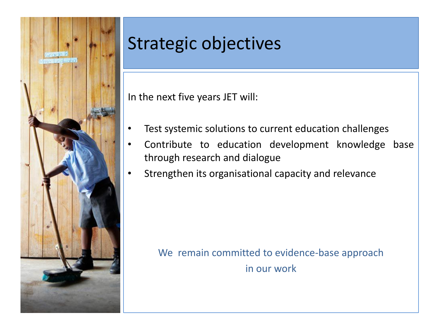

## Strategic objectives

In the next five years JET will:

- Test systemic solutions to current education challenges
- Contribute to education development knowledge base through research and dialogue
- Strengthen its organisational capacity and relevance

We remain committed to evidence-base approach in our work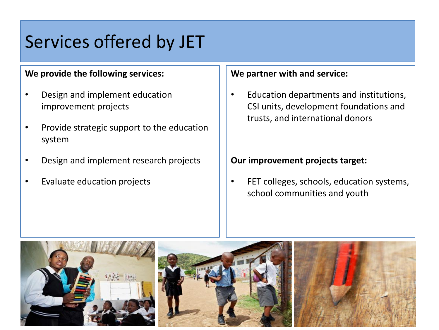### Services offered by JET

#### **We provide the following services:**

- Design and implement education improvement projects
- Provide strategic support to the education system
- Design and implement research projects
- Evaluate education projects

#### **We partner with and service:**

• Education departments and institutions, CSI units, development foundations and trusts, and international donors

#### **Our improvement projects target:**

• FET colleges, schools, education systems, school communities and youth

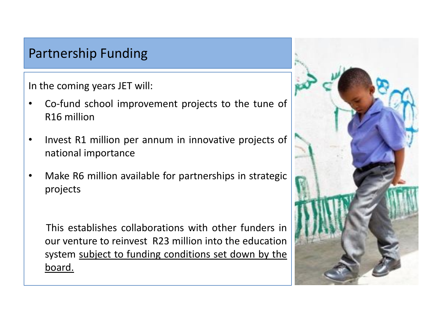### Partnership Funding

In the coming years JET will:

- Co-fund school improvement projects to the tune of R16 million
- Invest R1 million per annum in innovative projects of national importance
- Make R6 million available for partnerships in strategic projects

This establishes collaborations with other funders in our venture to reinvest R23 million into the education system subject to funding conditions set down by the board.

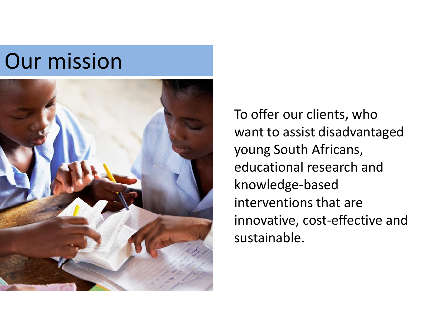# Our mission



To offer our clients, who want to assist disadvantaged young South Africans, educational research and knowledge-based interventions that are innovative, cost-effective and sustainable.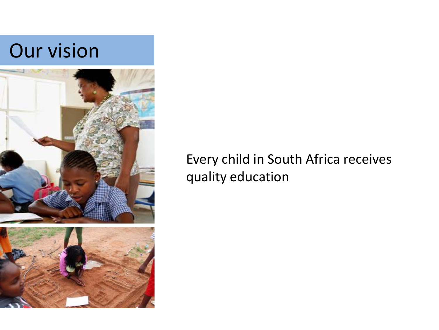# Our vision





### Every child in South Africa receives quality education